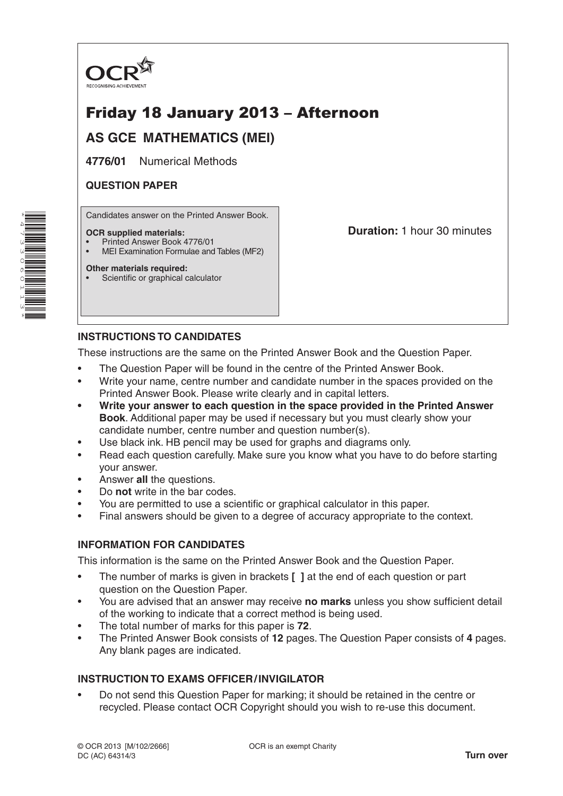

# Friday 18 January 2013 – Afternoon

## **AS GCE MATHEMATICS (MEI)**

**4776/01** Numerical Methods

## **QUESTION PAPER**

Candidates answer on the Printed Answer Book.

#### **OCR supplied materials:**

- Printed Answer Book 4776/01
- MEI Examination Formulae and Tables (MF2)

## **Other materials required:**

Scientific or graphical calculator

**Duration:** 1 hour 30 minutes

## **INSTRUCTIONS TO CANDIDATES**

These instructions are the same on the Printed Answer Book and the Question Paper.

- The Question Paper will be found in the centre of the Printed Answer Book.
- Write your name, centre number and candidate number in the spaces provided on the Printed Answer Book. Please write clearly and in capital letters.
- **• Write your answer to each question in the space provided in the Printed Answer Book**. Additional paper may be used if necessary but you must clearly show your candidate number, centre number and question number(s).
- Use black ink. HB pencil may be used for graphs and diagrams only.
- Read each question carefully. Make sure you know what you have to do before starting your answer.
- Answer **all** the questions.
- Do **not** write in the bar codes.
- You are permitted to use a scientific or graphical calculator in this paper.
- Final answers should be given to a degree of accuracy appropriate to the context.

## **INFORMATION FOR CANDIDATES**

This information is the same on the Printed Answer Book and the Question Paper.

- The number of marks is given in brackets **[ ]** at the end of each question or part question on the Question Paper.
- You are advised that an answer may receive **no marks** unless you show sufficient detail of the working to indicate that a correct method is being used.
- The total number of marks for this paper is **72**.
- The Printed Answer Book consists of **12** pages. The Question Paper consists of **4** pages. Any blank pages are indicated.

## **INSTRUCTION TO EXAMS OFFICER/INVIGILATOR**

• Do not send this Question Paper for marking; it should be retained in the centre or recycled. Please contact OCR Copyright should you wish to re-use this document.

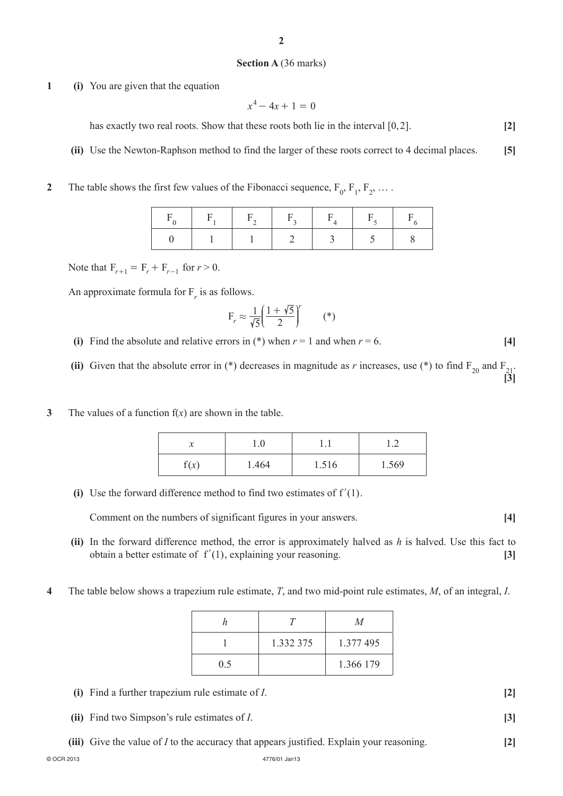#### **Section A** (36 marks)

**1 (i)** You are given that the equation

$$
x^4 - 4x + 1 = 0
$$

has exactly two real roots. Show that these roots both lie in the interval  $[0,2]$ .  $[2]$ 

- **(ii)** Use the Newton-Raphson method to find the larger of these roots correct to 4 decimal places. **[5]**
- **2** The table shows the first few values of the Fibonacci sequence,  $F_0$ ,  $F_1$ ,  $F_2$ , ...

Note that  $F_{r+1} = F_r + F_{r-1}$  for  $r > 0$ .

An approximate formula for  $F_r$  is as follows.

$$
F_r \approx \frac{1}{\sqrt{5}} \left( \frac{1 + \sqrt{5}}{2} \right)^r \qquad (*)
$$

**(i)** Find the absolute and relative errors in (\*) when  $r = 1$  and when  $r = 6$ . [4]

(ii) Given that the absolute error in (\*) decreases in magnitude as *r* increases, use (\*) to find  $F_{20}$  and  $F_{21}$ . **[3]**

**3** The values of a function f(*x*) are shown in the table.

| л    | 1.0   | .     | $\overline{\phantom{a}}$<br>⊥.∠ |
|------|-------|-------|---------------------------------|
| f(x) | 1.464 | 1.516 | 1.569                           |

**(i)** Use the forward difference method to find two estimates of  $f'(1)$ .

 **Comment on the numbers of significant figures in your answers.** [4]

- **(ii)** In the forward difference method, the error is approximately halved as *h* is halved. Use this fact to obtain a better estimate of  $f'(1)$ , explaining your reasoning. **[3]**
- **4** The table below shows a trapezium rule estimate, *T*, and two mid-point rule estimates, *M*, of an integral, *I*.

|     |           | M         |
|-----|-----------|-----------|
|     | 1.332 375 | 1.377 495 |
| 0.5 |           | 1.366 179 |

- **(i)** Find a further trapezium rule estimate of *I*. **[2]**
- **(ii)** Find two Simpson's rule estimates of *I*. **[3]**
- **(iii)** Give the value of *I* to the accuracy that appears justified. Explain your reasoning. **[2]**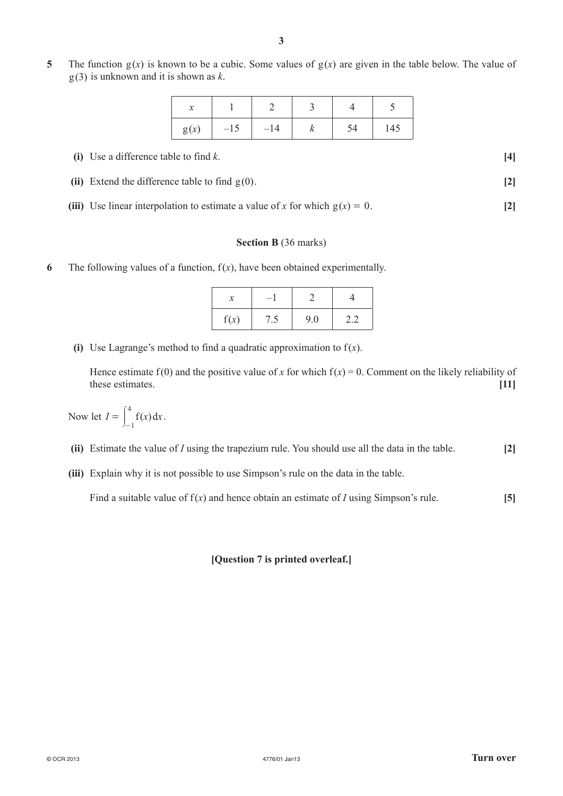**5** The function  $g(x)$  is known to be a cubic. Some values of  $g(x)$  are given in the table below. The value of g(3) is unknown and it is shown as *k*.

| 灬    |       |       |    |     |
|------|-------|-------|----|-----|
| g(x) | $-15$ | $-14$ | 54 | 145 |

| (i) Use a difference table to find $k$ .          |  |
|---------------------------------------------------|--|
| (ii) Extend the difference table to find $g(0)$ . |  |

(iii) Use linear interpolation to estimate a value of *x* for which  $g(x) = 0$ . [2]

#### **Section B** (36 marks)

**6** The following values of a function,  $f(x)$ , have been obtained experimentally.

| f(x) | 9.0 | 7 L |
|------|-----|-----|

**(i)** Use Lagrange's method to find a quadratic approximation to  $f(x)$ .

Hence estimate  $f(0)$  and the positive value of *x* for which  $f(x) = 0$ . Comment on the likely reliability of these estimates. **[11]**

Now let  $I = \int_{-1}^{1} f(x) dx$  $=\int_{-1}^{4} f(x) dx.$ 

 **(ii)** Estimate the value of *I* using the trapezium rule. You should use all the data in the table. **[2]**

**(iii)** Explain why it is not possible to use Simpson's rule on the data in the table.

Find a suitable value of f(*x*) and hence obtain an estimate of *I* using Simpson's rule. **[5]**

## **[Question 7 is printed overleaf.]**